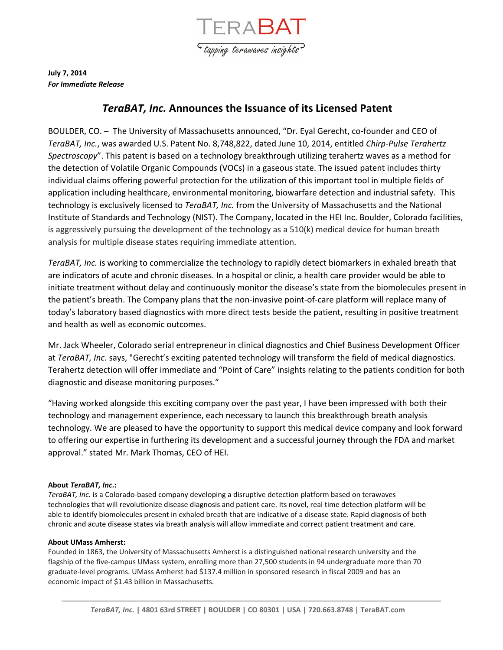

**July 7, 2014** *For Immediate Release*

# *TeraBAT, Inc.* **Announces the Issuance of its Licensed Patent**

BOULDER, CO. – The University of Massachusetts announced, "Dr. Eyal Gerecht, co-founder and CEO of *TeraBAT, Inc.*, was awarded U.S. Patent No. 8,748,822, dated June 10, 2014, entitled *Chirp-Pulse Terahertz Spectroscopy*". This patent is based on a technology breakthrough utilizing terahertz waves as a method for the detection of Volatile Organic Compounds (VOCs) in a gaseous state. The issued patent includes thirty individual claims offering powerful protection for the utilization of this important tool in multiple fields of application including healthcare, environmental monitoring, biowarfare detection and industrial safety. This technology is exclusively licensed to *TeraBAT, Inc.* from the University of Massachusetts and the National Institute of Standards and Technology (NIST). The Company, located in the HEI Inc. Boulder, Colorado facilities, is aggressively pursuing the development of the technology as a 510(k) medical device for human breath analysis for multiple disease states requiring immediate attention.

*TeraBAT, Inc.* is working to commercialize the technology to rapidly detect biomarkers in exhaled breath that are indicators of acute and chronic diseases. In a hospital or clinic, a health care provider would be able to initiate treatment without delay and continuously monitor the disease's state from the biomolecules present in the patient's breath. The Company plans that the non-invasive point-of-care platform will replace many of today's laboratory based diagnostics with more direct tests beside the patient, resulting in positive treatment and health as well as economic outcomes.

Mr. Jack Wheeler, Colorado serial entrepreneur in clinical diagnostics and Chief Business Development Officer at *TeraBAT, Inc.* says, "Gerecht's exciting patented technology will transform the field of medical diagnostics. Terahertz detection will offer immediate and "Point of Care" insights relating to the patients condition for both diagnostic and disease monitoring purposes."

"Having worked alongside this exciting company over the past year, I have been impressed with both their technology and management experience, each necessary to launch this breakthrough breath analysis technology. We are pleased to have the opportunity to support this medical device company and look forward to offering our expertise in furthering its development and a successful journey through the FDA and market approval." stated Mr. Mark Thomas, CEO of HEI.

## **About** *TeraBAT, Inc***.:**

*TeraBAT, Inc.* is a Colorado-based company developing a disruptive detection platform based on terawaves technologies that will revolutionize disease diagnosis and patient care. Its novel, real time detection platform will be able to identify biomolecules present in exhaled breath that are indicative of a disease state. Rapid diagnosis of both chronic and acute disease states via breath analysis will allow immediate and correct patient treatment and care.

### **About UMass Amherst:**

Founded in 1863, the University of Massachusetts Amherst is a distinguished national research university and the flagship of the five-campus UMass system, enrolling more than 27,500 students in 94 undergraduate more than 70 graduate-level programs. UMass Amherst had \$137.4 million in sponsored research in fiscal 2009 and has an economic impact of \$1.43 billion in Massachusetts.